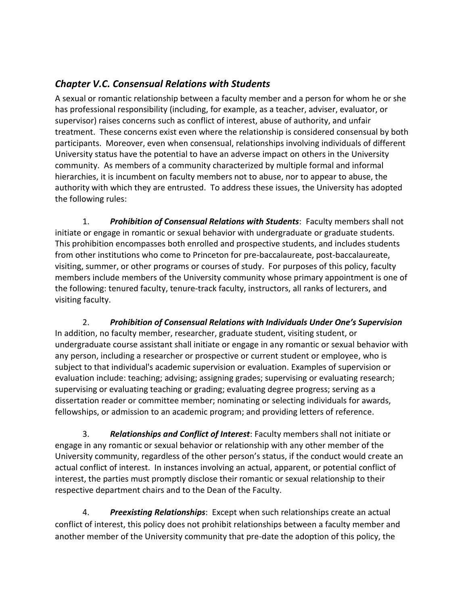## *Chapter V.C. Consensual Relations with Students*

A sexual or romantic relationship between a faculty member and a person for whom he or she has professional responsibility (including, for example, as a teacher, adviser, evaluator, or supervisor) raises concerns such as conflict of interest, abuse of authority, and unfair treatment. These concerns exist even where the relationship is considered consensual by both participants. Moreover, even when consensual, relationships involving individuals of different University status have the potential to have an adverse impact on others in the University community. As members of a community characterized by multiple formal and informal hierarchies, it is incumbent on faculty members not to abuse, nor to appear to abuse, the authority with which they are entrusted. To address these issues, the University has adopted the following rules:

1. *Prohibition of Consensual Relations with Students*: Faculty members shall not initiate or engage in romantic or sexual behavior with undergraduate or graduate students. This prohibition encompasses both enrolled and prospective students, and includes students from other institutions who come to Princeton for pre-baccalaureate, post-baccalaureate, visiting, summer, or other programs or courses of study. For purposes of this policy, faculty members include members of the University community whose primary appointment is one of the following: tenured faculty, tenure-track faculty, instructors, all ranks of lecturers, and visiting faculty.

2. *Prohibition of Consensual Relations with Individuals Under One's Supervision* In addition, no faculty member, researcher, graduate student, visiting student, or undergraduate course assistant shall initiate or engage in any romantic or sexual behavior with any person, including a researcher or prospective or current student or employee, who is subject to that individual's academic supervision or evaluation. Examples of supervision or evaluation include: teaching; advising; assigning grades; supervising or evaluating research; supervising or evaluating teaching or grading; evaluating degree progress; serving as a dissertation reader or committee member; nominating or selecting individuals for awards, fellowships, or admission to an academic program; and providing letters of reference.

3. *Relationships and Conflict of Interest*: Faculty members shall not initiate or engage in any romantic or sexual behavior or relationship with any other member of the University community, regardless of the other person's status, if the conduct would create an actual conflict of interest. In instances involving an actual, apparent, or potential conflict of interest, the parties must promptly disclose their romantic or sexual relationship to their respective department chairs and to the Dean of the Faculty.

4. *Preexisting Relationships*: Except when such relationships create an actual conflict of interest, this policy does not prohibit relationships between a faculty member and another member of the University community that pre-date the adoption of this policy, the